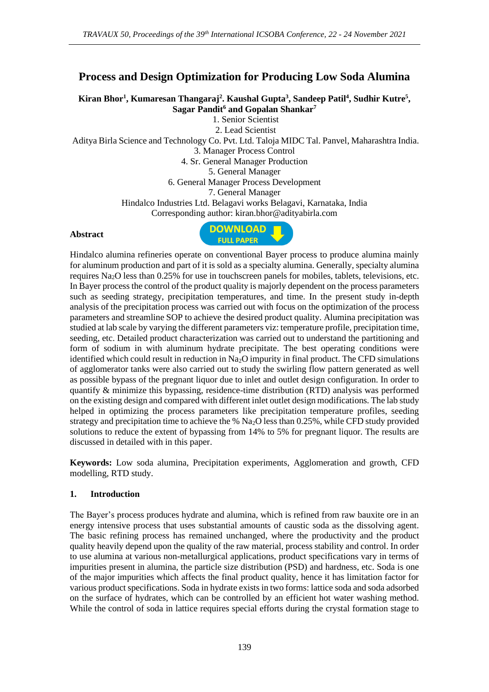# **Process and Design Optimization for Producing Low Soda Alumina**

**Kiran Bhor<sup>1</sup> , Kumaresan Thangaraj<sup>2</sup> . Kaushal Gupta<sup>3</sup> , Sandeep Patil<sup>4</sup> , Sudhir Kutre<sup>5</sup> , Sagar Pandit<sup>6</sup> and Gopalan Shankar<sup>7</sup>**

1. Senior Scientist

2. Lead Scientist

Aditya Birla Science and Technology Co. Pvt. Ltd. Taloja MIDC Tal. Panvel, Maharashtra India.

3. Manager Process Control

4. Sr. General Manager Production

5. General Manager

6. General Manager Process Development

7. General Manager

Hindalco Industries Ltd. Belagavi works Belagavi, Karnataka, India

Corresponding author: kiran.bhor@adityabirla.com

#### **Abstract**



Hindalco alumina refineries operate on conventional Bayer process to produce alumina mainly for aluminum production and part of it is sold as a specialty alumina. Generally, specialty alumina requires Na2O less than 0.25% for use in touchscreen panels for mobiles, tablets, televisions, etc. In Bayer process the control of the product quality is majorly dependent on the process parameters such as seeding strategy, precipitation temperatures, and time. In the present study in-depth analysis of the precipitation process was carried out with focus on the optimization of the process parameters and streamline SOP to achieve the desired product quality. Alumina precipitation was studied at lab scale by varying the different parameters viz: temperature profile, precipitation time, seeding, etc. Detailed product characterization was carried out to understand the partitioning and form of sodium in with aluminum hydrate precipitate. The best operating conditions were identified which could result in reduction in Na2O impurity in final product. The CFD simulations of agglomerator tanks were also carried out to study the swirling flow pattern generated as well as possible bypass of the pregnant liquor due to inlet and outlet design configuration. In order to quantify & minimize this bypassing, residence-time distribution (RTD) analysis was performed on the existing design and compared with different inlet outlet design modifications. The lab study helped in optimizing the process parameters like precipitation temperature profiles, seeding strategy and precipitation time to achieve the %  $Na<sub>2</sub>O$  less than 0.25%, while CFD study provided solutions to reduce the extent of bypassing from 14% to 5% for pregnant liquor. The results are discussed in detailed with in this paper.

**Keywords:** Low soda alumina, Precipitation experiments, Agglomeration and growth, CFD modelling, RTD study.

#### **1. Introduction**

The Bayer's process produces hydrate and alumina, which is refined from raw bauxite ore in an energy intensive process that uses substantial amounts of caustic soda as the dissolving agent. The basic refining process has remained unchanged, where the productivity and the product quality heavily depend upon the quality of the raw material, process stability and control. In order to use alumina at various non-metallurgical applications, product specifications vary in terms of impurities present in alumina, the particle size distribution (PSD) and hardness, etc. Soda is one of the major impurities which affects the final product quality, hence it has limitation factor for various product specifications. Soda in hydrate exists in two forms: lattice soda and soda adsorbed on the surface of hydrates, which can be controlled by an efficient hot water washing method. While the control of soda in lattice requires special efforts during the crystal formation stage to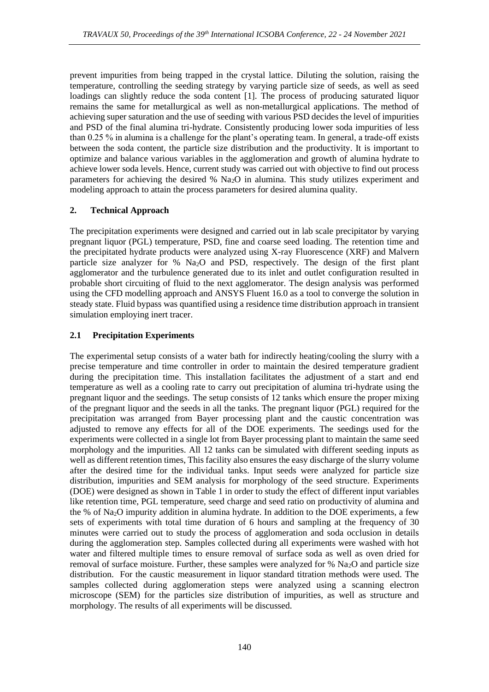prevent impurities from being trapped in the crystal lattice. Diluting the solution, raising the temperature, controlling the seeding strategy by varying particle size of seeds, as well as seed loadings can slightly reduce the soda content [1]. The process of producing saturated liquor remains the same for metallurgical as well as non-metallurgical applications. The method of achieving super saturation and the use of seeding with various PSD decides the level of impurities and PSD of the final alumina tri-hydrate. Consistently producing lower soda impurities of less than 0.25 % in alumina is a challenge for the plant's operating team. In general, a trade-off exists between the soda content, the particle size distribution and the productivity. It is important to optimize and balance various variables in the agglomeration and growth of alumina hydrate to achieve lower soda levels. Hence, current study was carried out with objective to find out process parameters for achieving the desired %  $Na<sub>2</sub>O$  in alumina. This study utilizes experiment and modeling approach to attain the process parameters for desired alumina quality.

### **2. Technical Approach**

The precipitation experiments were designed and carried out in lab scale precipitator by varying pregnant liquor (PGL) temperature, PSD, fine and coarse seed loading. The retention time and the precipitated hydrate products were analyzed using X-ray Fluorescence (XRF) and Malvern particle size analyzer for % Na2O and PSD, respectively. The design of the first plant agglomerator and the turbulence generated due to its inlet and outlet configuration resulted in probable short circuiting of fluid to the next agglomerator. The design analysis was performed using the CFD modelling approach and ANSYS Fluent 16.0 as a tool to converge the solution in steady state. Fluid bypass was quantified using a residence time distribution approach in transient simulation employing inert tracer.

## **2.1 Precipitation Experiments**

The experimental setup consists of a water bath for indirectly heating/cooling the slurry with a precise temperature and time controller in order to maintain the desired temperature gradient during the precipitation time. This installation facilitates the adjustment of a start and end temperature as well as a cooling rate to carry out precipitation of alumina tri-hydrate using the pregnant liquor and the seedings. The setup consists of 12 tanks which ensure the proper mixing of the pregnant liquor and the seeds in all the tanks. The pregnant liquor (PGL) required for the precipitation was arranged from Bayer processing plant and the caustic concentration was adjusted to remove any effects for all of the DOE experiments. The seedings used for the experiments were collected in a single lot from Bayer processing plant to maintain the same seed morphology and the impurities. All 12 tanks can be simulated with different seeding inputs as well as different retention times, This facility also ensures the easy discharge of the slurry volume after the desired time for the individual tanks. Input seeds were analyzed for particle size distribution, impurities and SEM analysis for morphology of the seed structure. Experiments (DOE) were designed as shown in Table 1 in order to study the effect of different input variables like retention time, PGL temperature, seed charge and seed ratio on productivity of alumina and the % of Na<sub>2</sub>O impurity addition in alumina hydrate. In addition to the DOE experiments, a few sets of experiments with total time duration of 6 hours and sampling at the frequency of 30 minutes were carried out to study the process of agglomeration and soda occlusion in details during the agglomeration step. Samples collected during all experiments were washed with hot water and filtered multiple times to ensure removal of surface soda as well as oven dried for removal of surface moisture. Further, these samples were analyzed for  $%$  Na<sub>2</sub>O and particle size distribution. For the caustic measurement in liquor standard titration methods were used. The samples collected during agglomeration steps were analyzed using a scanning electron microscope (SEM) for the particles size distribution of impurities, as well as structure and morphology. The results of all experiments will be discussed.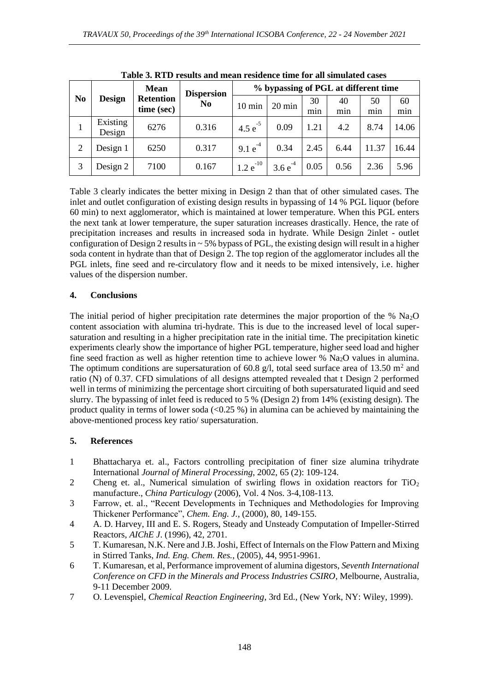| N <sub>0</sub> | <b>Design</b>      | <b>Mean</b><br><b>Retention</b><br>time (sec) | <b>Dispersion</b><br>N <sub>0</sub> | % bypassing of PGL at different time |                  |      |      |       |       |
|----------------|--------------------|-----------------------------------------------|-------------------------------------|--------------------------------------|------------------|------|------|-------|-------|
|                |                    |                                               |                                     | $10 \text{ min}$                     | $20 \text{ min}$ | 30   | 40   | 50    | 60    |
|                |                    |                                               |                                     |                                      |                  | min  | min  | min   | min   |
|                | Existing<br>Design | 6276                                          | 0.316                               | 4.5 $e^{-5}$                         | 0.09             | 1.21 | 4.2  | 8.74  | 14.06 |
| $\overline{2}$ | Design 1           | 6250                                          | 0.317                               | $-4$<br>9.1 <sub>e</sub>             | 0.34             | 2.45 | 6.44 | 11.37 | 16.44 |
|                | Design 2           | 7100                                          | 0.167                               | $-10$<br>1.2e                        | 3.6e             | 0.05 | 0.56 | 2.36  | 5.96  |

**Table 3. RTD results and mean residence time for all simulated cases**

Table 3 clearly indicates the better mixing in Design 2 than that of other simulated cases. The inlet and outlet configuration of existing design results in bypassing of 14 % PGL liquor (before 60 min) to next agglomerator, which is maintained at lower temperature. When this PGL enters the next tank at lower temperature, the super saturation increases drastically. Hence, the rate of precipitation increases and results in increased soda in hydrate. While Design 2inlet - outlet configuration of Design 2 results in  $\sim$  5% bypass of PGL, the existing design will result in a higher soda content in hydrate than that of Design 2. The top region of the agglomerator includes all the PGL inlets, fine seed and re-circulatory flow and it needs to be mixed intensively, i.e. higher values of the dispersion number.

#### **4. Conclusions**

The initial period of higher precipitation rate determines the major proportion of the %  $Na<sub>2</sub>O$ content association with alumina tri-hydrate. This is due to the increased level of local supersaturation and resulting in a higher precipitation rate in the initial time. The precipitation kinetic experiments clearly show the importance of higher PGL temperature, higher seed load and higher fine seed fraction as well as higher retention time to achieve lower %  $Na<sub>2</sub>O$  values in alumina. The optimum conditions are supersaturation of 60.8 g/l, total seed surface area of 13.50  $m<sup>2</sup>$  and ratio (N) of 0.37. CFD simulations of all designs attempted revealed that t Design 2 performed well in terms of minimizing the percentage short circuiting of both supersaturated liquid and seed slurry. The bypassing of inlet feed is reduced to 5 % (Design 2) from 14% (existing design). The product quality in terms of lower soda  $\langle$ <0.25 %) in alumina can be achieved by maintaining the above-mentioned process key ratio/ supersaturation.

### **5. References**

- 1 Bhattacharya et. al., Factors controlling precipitation of finer size alumina trihydrate International *Journal of Mineral Processing*, 2002, 65 (2): 109-124.
- 2 Cheng et. al., Numerical simulation of swirling flows in oxidation reactors for TiO<sub>2</sub> manufacture., *China Particulogy* (2006), Vol. 4 Nos. 3-4,108-113.
- 3 Farrow, et. al., "Recent Developments in Techniques and Methodologies for Improving Thickener Performance", *Chem. Eng. J.*, (2000), 80, 149-155.
- 4 A. D. Harvey, III and E. S. Rogers, Steady and Unsteady Computation of Impeller-Stirred Reactors, *AIChE J*. (1996), 42, 2701.
- 5 T. Kumaresan, N.K. Nere and J.B. Joshi, Effect of Internals on the Flow Pattern and Mixing in Stirred Tanks, *Ind. Eng. Chem. Res.*, (2005), 44, 9951-9961.
- 6 T. Kumaresan, et al, Performance improvement of alumina digestors, *Seventh International Conference on CFD in the Minerals and Process Industries CSIRO*, Melbourne, Australia, 9-11 December 2009.
- 7 O. Levenspiel, *Chemical Reaction Engineering*, 3rd Ed., (New York, NY: Wiley, 1999).